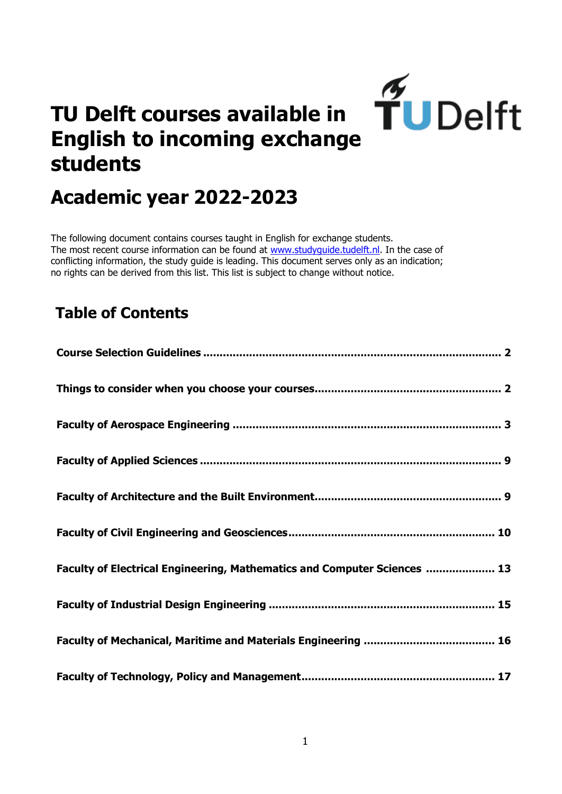

# **TU Delft courses available in English to incoming exchange students**

## **Academic year 2022-2023**

The following document contains courses taught in English for exchange students. The most recent course information can be found at www.studyquide.tudelft.nl. In the case of conflicting information, the study guide is leading. This document serves only as an indication; no rights can be derived from this list. This list is subject to change without notice.

### **Table of Contents**

| Faculty of Electrical Engineering, Mathematics and Computer Sciences  13 |
|--------------------------------------------------------------------------|
|                                                                          |
|                                                                          |
|                                                                          |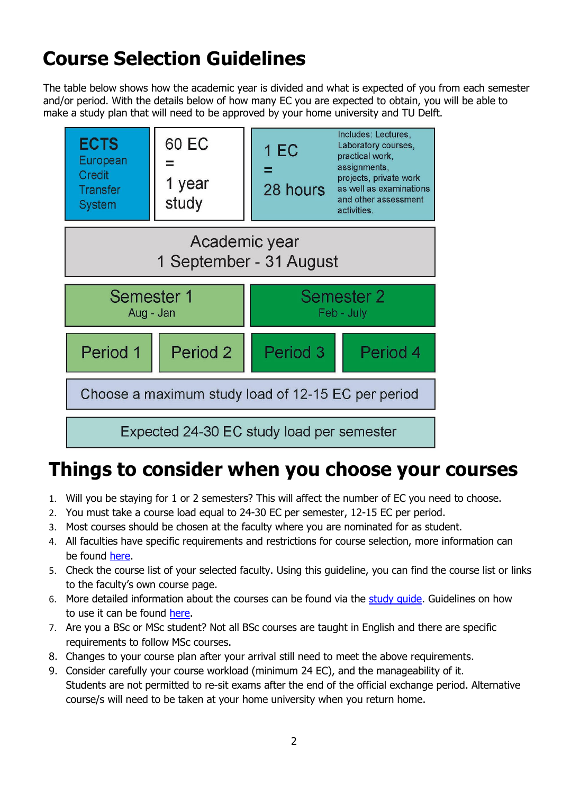# <span id="page-1-0"></span>**Course Selection Guidelines**

The table below shows how the academic year is divided and what is expected of you from each semester and/or period. With the details below of how many EC you are expected to obtain, you will be able to make a study plan that will need to be approved by your home university and TU Delft.



# <span id="page-1-1"></span>**Things to consider when you choose your courses**

- 1. Will you be staying for 1 or 2 semesters? This will affect the number of EC you need to choose.
- 2. You must take a course load equal to 24-30 EC per semester, 12-15 EC per period.
- 3. Most courses should be chosen at the faculty where you are nominated for as student.
- 4. All faculties have specific requirements and restrictions for course selection, more information can be found [here.](https://www.tudelft.nl/onderwijs/toelating-en-aanmelding/exchange-students/requirements/course-selection-restrictions)
- 5. Check the course list of your selected faculty. Using this guideline, you can find the course list or links to the faculty's own course page.
- 6. More detailed information about the courses can be found via the study quide. Guidelines on how to use it can be found [here.](https://d1rkab7tlqy5f1.cloudfront.net/TUDelft/Onderwijs/Toelating_en_aanmelding/Exchange/Digital_studyguide_versie_voor_2015_versie_9-7-2015.pdf)
- 7. Are you a BSc or MSc student? Not all BSc courses are taught in English and there are specific requirements to follow MSc courses.
- 8. Changes to your course plan after your arrival still need to meet the above requirements.
- 9. Consider carefully your course workload (minimum 24 EC), and the manageability of it. Students are not permitted to re-sit exams after the end of the official exchange period. Alternative course/s will need to be taken at your home university when you return home.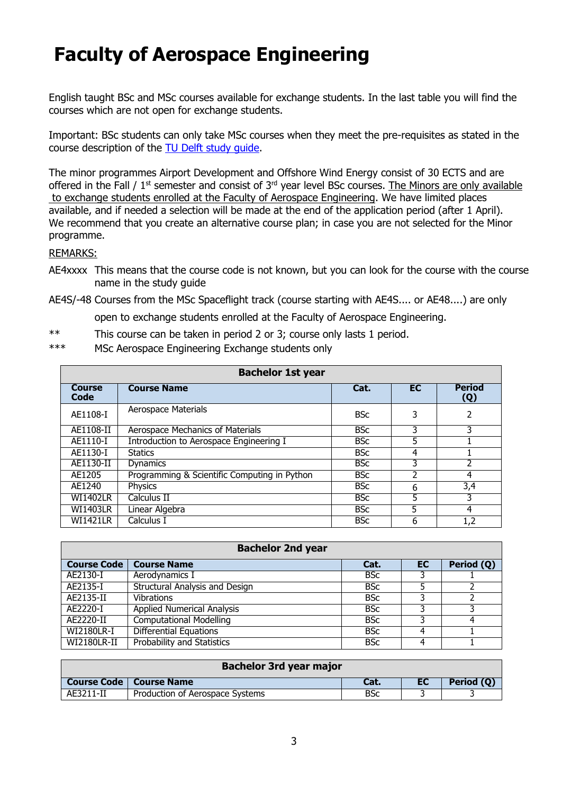### <span id="page-2-0"></span>**Faculty of Aerospace Engineering**

English taught BSc and MSc courses available for exchange students. In the last table you will find the courses which are not open for exchange students.

Important: BSc students can only take MSc courses when they meet the pre-requisites as stated in the course description of the [TU Delft study guide.](https://studiegids.tudelft.nl/bbDefault.do?SIS_SwitchLang=en)

The minor programmes Airport Development and Offshore Wind Energy consist of 30 ECTS and are offered in the Fall / 1<sup>st</sup> semester and consist of 3<sup>rd</sup> year level BSc courses. The Minors are only available to exchange students enrolled at the Faculty of Aerospace Engineering. We have limited places available, and if needed a selection will be made at the end of the application period (after 1 April). We recommend that you create an alternative course plan; in case you are not selected for the Minor programme.

#### REMARKS:

- AE4xxxx This means that the course code is not known, but you can look for the course with the course name in the study guide
- AE4S/-48 Courses from the MSc Spaceflight track (course starting with AE4S.... or AE48....) are only open to exchange students enrolled at the Faculty of Aerospace Engineering.
- \*\* This course can be taken in period 2 or 3; course only lasts 1 period.
- \*\*\* MSc Aerospace Engineering Exchange students only

|                       | <b>Bachelor 1st year</b>                     |            |                |                      |  |
|-----------------------|----------------------------------------------|------------|----------------|----------------------|--|
| <b>Course</b><br>Code | <b>Course Name</b>                           | Cat.       | <b>EC</b>      | <b>Period</b><br>(Q) |  |
| AE1108-T              | Aerospace Materials                          | <b>BSc</b> | 3              | 2                    |  |
| AE1108-II             | <b>Aerospace Mechanics of Materials</b>      | <b>BSc</b> | 3              | 3                    |  |
| AE1110-I              | Introduction to Aerospace Engineering I      | <b>BSc</b> | 5              |                      |  |
| AE1130-I              | <b>Statics</b>                               | <b>BSc</b> | 4              |                      |  |
| AE1130-II             | Dynamics                                     | <b>BSc</b> | 3              |                      |  |
| AE1205                | Programming & Scientific Computing in Python | <b>BSc</b> | $\overline{2}$ | 4                    |  |
| AE1240                | <b>Physics</b>                               | <b>BSc</b> | 6              | 3,4                  |  |
| <b>WI1402LR</b>       | Calculus II                                  | <b>BSc</b> | 5              | 3                    |  |
| <b>WI1403LR</b>       | Linear Algebra                               | <b>BSc</b> | 5              | 4                    |  |
| <b>WI1421LR</b>       | Calculus I                                   | <b>BSc</b> | 6              | 1,2                  |  |

|                    | <b>Bachelor 2nd year</b>          |            |     |            |
|--------------------|-----------------------------------|------------|-----|------------|
|                    | <b>Course Code   Course Name</b>  | Cat.       | EC. | Period (Q) |
| AE2130-I           | Aerodynamics I                    | <b>BSc</b> |     |            |
| AE2135-I           | Structural Analysis and Design    | <b>BSc</b> |     |            |
| AE2135-II          | Vibrations                        | <b>BSc</b> |     |            |
| AE2220-I           | <b>Applied Numerical Analysis</b> | <b>BSc</b> |     |            |
| AE2220-II          | <b>Computational Modelling</b>    | <b>BSc</b> |     | 4          |
| <b>WI2180LR-I</b>  | <b>Differential Equations</b>     | <b>BSc</b> |     |            |
| <b>WI2180LR-II</b> | <b>Probability and Statistics</b> | <b>BSc</b> |     |            |

| <b>Bachelor 3rd year major</b> |                                  |            |    |            |
|--------------------------------|----------------------------------|------------|----|------------|
|                                | <b>Course Code   Course Name</b> | Cat.       | EC | Period (Q) |
| AE3211-II                      | Production of Aerospace Systems  | <b>BSc</b> |    |            |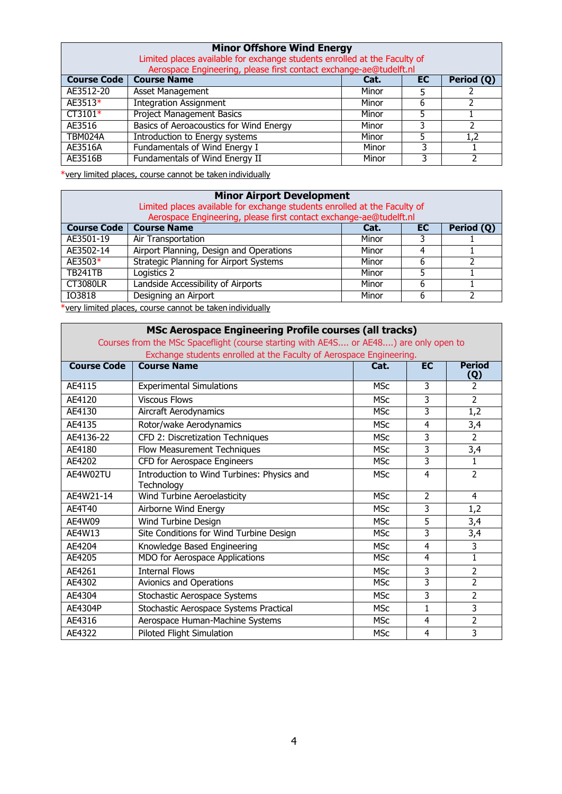| <b>Minor Offshore Wind Energy</b><br>Limited places available for exchange students enrolled at the Faculty of |                                                                    |       |     |            |
|----------------------------------------------------------------------------------------------------------------|--------------------------------------------------------------------|-------|-----|------------|
|                                                                                                                | Aerospace Engineering, please first contact exchange-ae@tudelft.nl |       |     |            |
| <b>Course Code</b>                                                                                             | <b>Course Name</b>                                                 | Cat.  | EC. | Period (Q) |
| AE3512-20                                                                                                      | Asset Management                                                   | Minor | 5   |            |
| AE3513*                                                                                                        | <b>Integration Assignment</b>                                      | Minor | 6   |            |
| $CT3101*$                                                                                                      | <b>Project Management Basics</b>                                   | Minor |     |            |
| AE3516                                                                                                         | Basics of Aeroacoustics for Wind Energy                            | Minor | 3   |            |
| TBM024A                                                                                                        | <b>Introduction to Energy systems</b>                              | Minor |     | 1,2        |
| AE3516A                                                                                                        | Fundamentals of Wind Energy I                                      | Minor | 3   |            |
| AE3516B                                                                                                        | <b>Fundamentals of Wind Energy II</b>                              | Minor | 3   |            |

\*very limited places, course cannot be taken individually

| <b>Minor Airport Development</b><br>Limited places available for exchange students enrolled at the Faculty of<br>Aerospace Engineering, please first contact exchange-ae@tudelft.nl |                                               |       |     |            |  |
|-------------------------------------------------------------------------------------------------------------------------------------------------------------------------------------|-----------------------------------------------|-------|-----|------------|--|
| <b>Course Code</b>                                                                                                                                                                  | <b>Course Name</b>                            | Cat.  | EC. | Period (Q) |  |
| AE3501-19                                                                                                                                                                           | Air Transportation                            | Minor |     |            |  |
| AE3502-14                                                                                                                                                                           | Airport Planning, Design and Operations       | Minor |     |            |  |
| AE3503*                                                                                                                                                                             | <b>Strategic Planning for Airport Systems</b> | Minor | 6   |            |  |
| <b>TB241TB</b>                                                                                                                                                                      | Logistics 2                                   | Minor |     |            |  |
| <b>CT3080LR</b>                                                                                                                                                                     | Landside Accessibility of Airports            | Minor | 6   |            |  |
| IO3818                                                                                                                                                                              | Designing an Airport                          | Minor |     |            |  |

\*very limited places, course cannot be taken individually

### **MSc Aerospace Engineering Profile courses (all tracks)**

Courses from the MSc Spaceflight (course starting with AE4S.... or AE48....) are only open to Exchange students enrolled at the Faculty of Aerospace Engineering.

| Exchange students embiled at the ractity of Aerospace Engineemig. |            |                |                      |  |
|-------------------------------------------------------------------|------------|----------------|----------------------|--|
| <b>Course Name</b>                                                | Cat.       | <b>EC</b>      | <b>Period</b><br>(Q) |  |
| <b>Experimental Simulations</b>                                   | <b>MSc</b> | 3              | 2                    |  |
| <b>Viscous Flows</b>                                              | <b>MSc</b> | 3              | $\overline{2}$       |  |
| Aircraft Aerodynamics                                             | <b>MSc</b> | 3              | 1,2                  |  |
| Rotor/wake Aerodynamics                                           | <b>MSc</b> | 4              | 3,4                  |  |
| CFD 2: Discretization Techniques                                  | <b>MSc</b> | 3              | $\overline{2}$       |  |
| Flow Measurement Techniques                                       | <b>MSc</b> | 3              | 3,4                  |  |
| CFD for Aerospace Engineers                                       | <b>MSc</b> | 3              | 1                    |  |
| Introduction to Wind Turbines: Physics and<br>Technology          | <b>MSc</b> | $\overline{4}$ | $\overline{2}$       |  |
| <b>Wind Turbine Aeroelasticity</b>                                | <b>MSc</b> | $\overline{2}$ | $\overline{4}$       |  |
| Airborne Wind Energy                                              | <b>MSc</b> | 3              | 1,2                  |  |
| Wind Turbine Design                                               | <b>MSc</b> | 5              | 3,4                  |  |
| Site Conditions for Wind Turbine Design                           | <b>MSc</b> | 3              | $\overline{3,4}$     |  |
| Knowledge Based Engineering                                       | <b>MSc</b> | 4              | 3                    |  |
| MDO for Aerospace Applications                                    | <b>MSc</b> | $\overline{4}$ | $\overline{1}$       |  |
| <b>Internal Flows</b>                                             | <b>MSc</b> | 3              | $\overline{2}$       |  |
| Avionics and Operations                                           | <b>MSc</b> | 3              | $\overline{2}$       |  |
| Stochastic Aerospace Systems                                      | <b>MSc</b> | 3              | 2                    |  |
| Stochastic Aerospace Systems Practical                            | <b>MSc</b> | $\mathbf{1}$   | 3                    |  |
| Aerospace Human-Machine Systems                                   | <b>MSc</b> | 4              | 2                    |  |
| Piloted Flight Simulation                                         | <b>MSc</b> | 4              | 3                    |  |
|                                                                   |            |                |                      |  |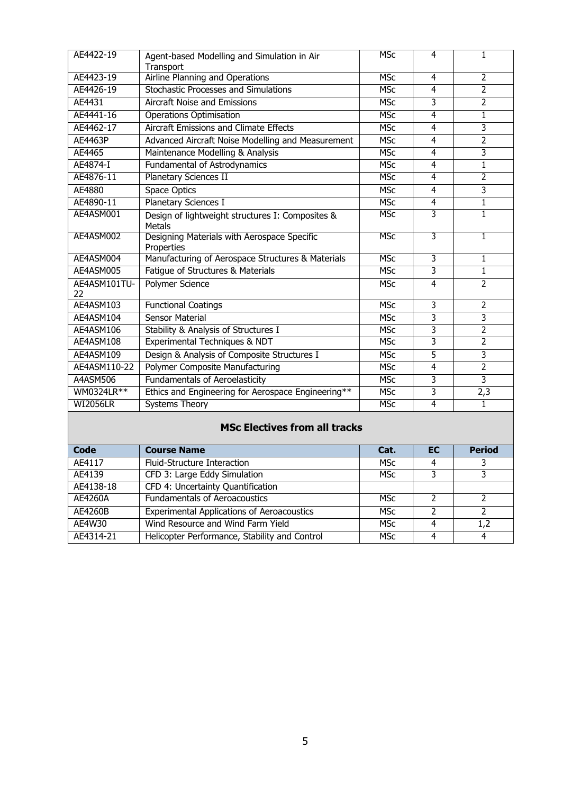| AE4422-19          | Agent-based Modelling and Simulation in Air<br>Transport          | <b>MSc</b> | 4                       | 1              |
|--------------------|-------------------------------------------------------------------|------------|-------------------------|----------------|
| AE4423-19          | <b>Airline Planning and Operations</b>                            | <b>MSc</b> | 4                       | $\overline{2}$ |
| AE4426-19          | <b>Stochastic Processes and Simulations</b>                       | <b>MSc</b> | $\overline{4}$          | $\overline{2}$ |
| AE4431             | <b>Aircraft Noise and Emissions</b>                               | <b>MSc</b> | $\overline{3}$          | 2              |
| AE4441-16          | <b>Operations Optimisation</b>                                    | <b>MSc</b> | 4                       | ī              |
| AE4462-17          | <b>Aircraft Emissions and Climate Effects</b>                     | <b>MSc</b> | 4                       | 3              |
| AE4463P            | Advanced Aircraft Noise Modelling and Measurement                 | <b>MSc</b> | $\overline{4}$          | 2              |
| AE4465             | Maintenance Modelling & Analysis                                  | <b>MSc</b> | 4                       | 3              |
| AE4874-I           | Fundamental of Astrodynamics                                      | <b>MSc</b> | $\overline{4}$          | $\mathbf{1}$   |
| AE4876-11          | <b>Planetary Sciences II</b>                                      | <b>MSc</b> | $\overline{4}$          | $\overline{2}$ |
| AE4880             | <b>Space Optics</b>                                               | <b>MSc</b> | $\overline{4}$          | 3              |
| AE4890-11          | <b>Planetary Sciences I</b>                                       | <b>MSc</b> | 4                       | $\mathbf{1}$   |
| AE4ASM001          | Design of lightweight structures I: Composites &<br><b>Metals</b> | <b>MSc</b> | 3                       | $\mathbf{1}$   |
| AE4ASM002          | Designing Materials with Aerospace Specific<br>Properties         | <b>MSc</b> | $\overline{3}$          | 1              |
| AE4ASM004          | Manufacturing of Aerospace Structures & Materials                 | <b>MSc</b> | 3                       | 1              |
| AE4ASM005          | Fatigue of Structures & Materials                                 | <b>MSc</b> | $\overline{3}$          | $\mathbf{1}$   |
| AE4ASM101TU-<br>22 | Polymer Science                                                   | <b>MSc</b> | $\overline{4}$          | $\overline{2}$ |
| AE4ASM103          | <b>Functional Coatings</b>                                        | <b>MSc</b> | $\overline{3}$          | $\overline{2}$ |
| AE4ASM104          | <b>Sensor Material</b>                                            | <b>MSc</b> | 3                       | $\overline{3}$ |
| AE4ASM106          | Stability & Analysis of Structures I                              | <b>MSC</b> | $\overline{\mathbf{3}}$ | $\overline{2}$ |
| AE4ASM108          | Experimental Techniques & NDT                                     | <b>MSc</b> | 3                       | $\overline{2}$ |
| AE4ASM109          | Design & Analysis of Composite Structures I                       | <b>MSc</b> | $\overline{5}$          | 3              |
| AE4ASM110-22       | <b>Polymer Composite Manufacturing</b>                            | <b>MSc</b> | $\overline{4}$          | $\overline{2}$ |
| A4ASM506           | Fundamentals of Aeroelasticity                                    | <b>MSC</b> | $\overline{3}$          | 3              |
| WM0324LR**         | Ethics and Engineering for Aerospace Engineering**                | <b>MSC</b> | $\overline{3}$          | 2,3            |
| <b>WI2056LR</b>    | <b>Systems Theory</b>                                             | <b>MSc</b> | $\overline{4}$          | 1              |
|                    |                                                                   |            |                         |                |

### **MSc Electives from all tracks**

| Code      | <b>Course Name</b>                                | Cat.       | EC. | <b>Period</b> |
|-----------|---------------------------------------------------|------------|-----|---------------|
| AF4117    | Fluid-Structure Interaction                       | <b>MSc</b> |     | 3             |
| AE4139    | CFD 3: Large Eddy Simulation                      | MSc        |     |               |
| AE4138-18 | CFD 4: Uncertainty Quantification                 |            |     |               |
| AE4260A   | <b>Fundamentals of Aeroacoustics</b>              | MSc        |     |               |
| AE4260B   | <b>Experimental Applications of Aeroacoustics</b> | <b>MSc</b> |     |               |
| AE4W30    | Wind Resource and Wind Farm Yield                 | <b>MSc</b> |     | 1,2           |
| AE4314-21 | Helicopter Performance, Stability and Control     | MSc        |     | 4             |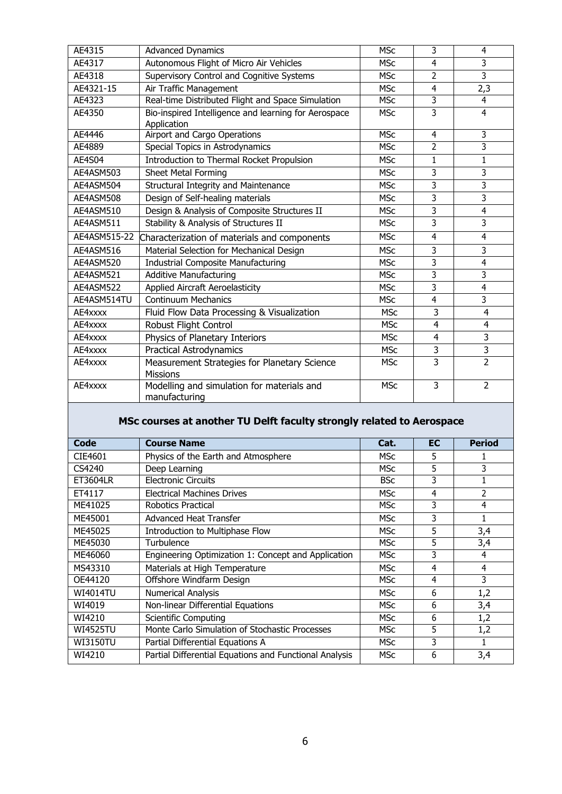| AE4315        | <b>Advanced Dynamics</b>                                            | <b>MSc</b> | 3              | 4                       |
|---------------|---------------------------------------------------------------------|------------|----------------|-------------------------|
| AE4317        | Autonomous Flight of Micro Air Vehicles                             | <b>MSc</b> | $\overline{4}$ | 3                       |
| AE4318        | Supervisory Control and Cognitive Systems                           | <b>MSc</b> | $\overline{2}$ | $\overline{3}$          |
| AE4321-15     | Air Traffic Management                                              | <b>MSc</b> | $\overline{4}$ | 2,3                     |
| AE4323        | Real-time Distributed Flight and Space Simulation                   | <b>MSc</b> | $\overline{3}$ | 4                       |
| AE4350        | Bio-inspired Intelligence and learning for Aerospace<br>Application | <b>MSc</b> | 3              | $\overline{4}$          |
| AE4446        | <b>Airport and Cargo Operations</b>                                 | <b>MSc</b> | $\overline{4}$ | 3                       |
| AE4889        | Special Topics in Astrodynamics                                     | <b>MSc</b> | $\overline{2}$ | $\overline{\mathbf{3}}$ |
| <b>AE4S04</b> | Introduction to Thermal Rocket Propulsion                           | <b>MSc</b> | $\mathbf{1}$   | $\mathbf{1}$            |
| AE4ASM503     | <b>Sheet Metal Forming</b>                                          | <b>MSc</b> | $\overline{3}$ | $\overline{3}$          |
| AE4ASM504     | Structural Integrity and Maintenance                                | <b>MSc</b> | 3              | 3                       |
| AE4ASM508     | Design of Self-healing materials                                    | <b>MSc</b> | 3              | 3                       |
| AE4ASM510     | Design & Analysis of Composite Structures II                        | <b>MSc</b> | 3              | 4                       |
| AE4ASM511     | Stability & Analysis of Structures II                               | <b>MSc</b> | $\overline{3}$ | $\overline{3}$          |
| AE4ASM515-22  | Characterization of materials and components                        | <b>MSc</b> | $\overline{4}$ | $\overline{4}$          |
| AE4ASM516     | Material Selection for Mechanical Design                            | <b>MSc</b> | 3              | 3                       |
| AE4ASM520     | <b>Industrial Composite Manufacturing</b>                           | <b>MSc</b> | 3              | 4                       |
| AE4ASM521     | <b>Additive Manufacturing</b>                                       | <b>MSc</b> | 3              | 3                       |
| AE4ASM522     | <b>Applied Aircraft Aeroelasticity</b>                              | <b>MSc</b> | 3              | $\overline{4}$          |
| AE4ASM514TU   | <b>Continuum Mechanics</b>                                          | <b>MSc</b> | 4              | 3                       |
| AE4xxxx       | Fluid Flow Data Processing & Visualization                          | <b>MSc</b> | 3              | $\overline{4}$          |
| AE4xxxx       | Robust Flight Control                                               | <b>MSc</b> | 4              | $\overline{4}$          |
| AE4xxxx       | Physics of Planetary Interiors                                      | <b>MSc</b> | 4              | 3                       |
| AE4xxxx       | <b>Practical Astrodynamics</b>                                      | <b>MSc</b> | 3              | $\overline{\mathbf{3}}$ |
| AE4xxxx       | Measurement Strategies for Planetary Science<br><b>Missions</b>     | <b>MSc</b> | 3              | $\overline{2}$          |
| AE4xxxx       | Modelling and simulation for materials and<br>manufacturing         | <b>MSc</b> | $\overline{3}$ | $\overline{2}$          |

### **MSc courses at another TU Delft faculty strongly related to Aerospace**

| Code            | <b>Course Name</b>                                     | Cat.       | <b>EC</b> | <b>Period</b> |
|-----------------|--------------------------------------------------------|------------|-----------|---------------|
| CIE4601         | Physics of the Earth and Atmosphere                    | <b>MSc</b> | 5         |               |
| CS4240          | Deep Learning                                          | <b>MSc</b> | 5         | 3             |
| ET3604LR        | <b>Electronic Circuits</b>                             | <b>BSc</b> | 3         |               |
| ET4117          | <b>Electrical Machines Drives</b>                      | <b>MSc</b> | 4         | 2             |
| ME41025         | Robotics Practical                                     | <b>MSc</b> | 3         | 4             |
| ME45001         | <b>Advanced Heat Transfer</b>                          | <b>MSc</b> | 3         |               |
| ME45025         | Introduction to Multiphase Flow                        | <b>MSc</b> | 5         | 3,4           |
| ME45030         | Turbulence                                             | MSc        | 5         | 3,4           |
| ME46060         | Engineering Optimization 1: Concept and Application    | <b>MSc</b> | 3         | 4             |
| MS43310         | Materials at High Temperature                          | <b>MSc</b> | 4         | 4             |
| OE44120         | Offshore Windfarm Design                               | MSc        | 4         | 3             |
| <b>WI4014TU</b> | <b>Numerical Analysis</b>                              | <b>MSc</b> | 6         | 1,2           |
| WI4019          | Non-linear Differential Equations                      | <b>MSc</b> | 6         | 3,4           |
| WI4210          | Scientific Computing                                   | MSc        | 6         | 1,2           |
| <b>WI4525TU</b> | Monte Carlo Simulation of Stochastic Processes         | <b>MSc</b> | 5         | 1,2           |
| <b>WI3150TU</b> | Partial Differential Equations A                       | <b>MSc</b> | 3         |               |
| WI4210          | Partial Differential Equations and Functional Analysis | <b>MSc</b> | 6         | 3,4           |
|                 |                                                        |            |           |               |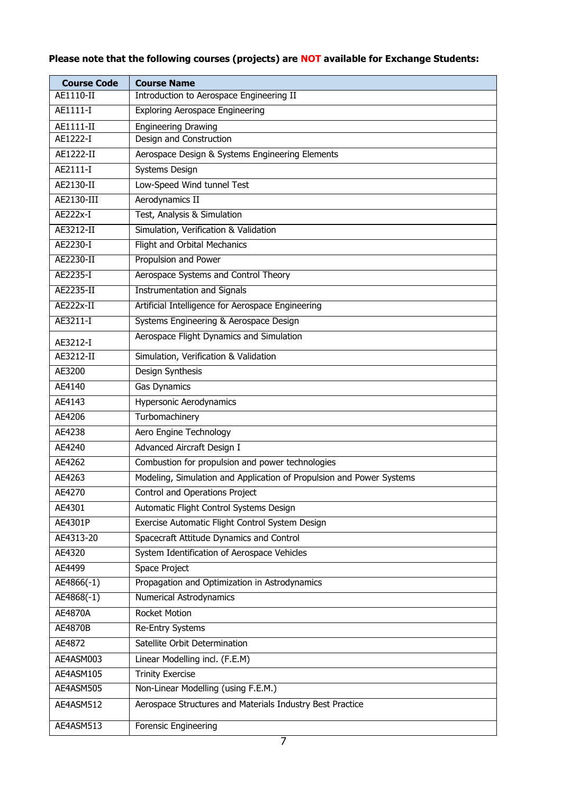### **Please note that the following courses (projects) are NOT available for Exchange Students:**

| <b>Course Code</b> | <b>Course Name</b>                                                                         |
|--------------------|--------------------------------------------------------------------------------------------|
| AE1110-II          | Introduction to Aerospace Engineering II                                                   |
| AE1111-I           | <b>Exploring Aerospace Engineering</b>                                                     |
| AE1111-II          | <b>Engineering Drawing</b>                                                                 |
| AE1222-I           | Design and Construction                                                                    |
| AE1222-II          | Aerospace Design & Systems Engineering Elements                                            |
| AE2111-I           | Systems Design                                                                             |
| AE2130-II          | Low-Speed Wind tunnel Test                                                                 |
| AE2130-III         | Aerodynamics II                                                                            |
| AE222x-I           | Test, Analysis & Simulation                                                                |
| AE3212-II          | Simulation, Verification & Validation                                                      |
| AE2230-I           | <b>Flight and Orbital Mechanics</b>                                                        |
| AE2230-II          | Propulsion and Power                                                                       |
| AE2235-I           | Aerospace Systems and Control Theory                                                       |
| AE2235-II          | <b>Instrumentation and Signals</b>                                                         |
| <b>AE222x-II</b>   | Artificial Intelligence for Aerospace Engineering                                          |
| AE3211-I           | Systems Engineering & Aerospace Design                                                     |
| AE3212-I           | Aerospace Flight Dynamics and Simulation                                                   |
| AE3212-II          | Simulation, Verification & Validation                                                      |
| AE3200             | Design Synthesis                                                                           |
| AE4140             | <b>Gas Dynamics</b>                                                                        |
| AE4143             | Hypersonic Aerodynamics                                                                    |
| AE4206             | Turbomachinery                                                                             |
| AE4238             | Aero Engine Technology                                                                     |
| AE4240             | Advanced Aircraft Design I                                                                 |
| AE4262             | Combustion for propulsion and power technologies                                           |
| AE4263             | Modeling, Simulation and Application of Propulsion and Power Systems                       |
|                    |                                                                                            |
| AE4270             | <b>Control and Operations Project</b>                                                      |
| AE4301             | Automatic Flight Control Systems Design<br>Exercise Automatic Flight Control System Design |
| AE4301P            |                                                                                            |
| AE4313-20          | Spacecraft Attitude Dynamics and Control                                                   |
| AE4320             | System Identification of Aerospace Vehicles                                                |
| AE4499             | Space Project                                                                              |
| $AE4866(-1)$       | Propagation and Optimization in Astrodynamics                                              |
| $AE4868(-1)$       | Numerical Astrodynamics                                                                    |
| AE4870A            | <b>Rocket Motion</b>                                                                       |
| <b>AE4870B</b>     | Re-Entry Systems                                                                           |
| AE4872             | Satellite Orbit Determination                                                              |
| AE4ASM003          | Linear Modelling incl. (F.E.M)                                                             |
| AE4ASM105          | <b>Trinity Exercise</b>                                                                    |
| AE4ASM505          | Non-Linear Modelling (using F.E.M.)                                                        |
| AE4ASM512          | Aerospace Structures and Materials Industry Best Practice                                  |
| AE4ASM513          | <b>Forensic Engineering</b>                                                                |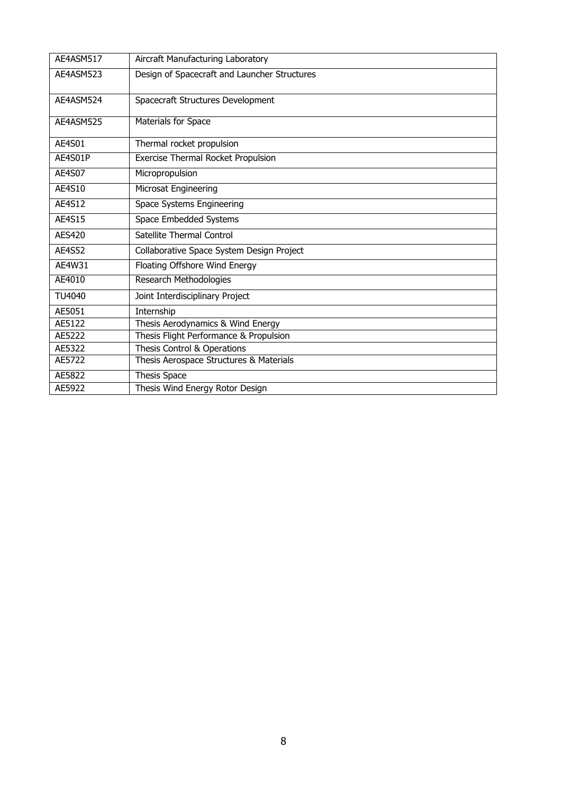| AE4ASM517     | Aircraft Manufacturing Laboratory            |
|---------------|----------------------------------------------|
| AE4ASM523     | Design of Spacecraft and Launcher Structures |
| AE4ASM524     | Spacecraft Structures Development            |
| AE4ASM525     | Materials for Space                          |
| <b>AE4S01</b> | Thermal rocket propulsion                    |
| AE4S01P       | Exercise Thermal Rocket Propulsion           |
| <b>AE4S07</b> | Micropropulsion                              |
| <b>AE4S10</b> | <b>Microsat Engineering</b>                  |
| AE4S12        | Space Systems Engineering                    |
| <b>AE4S15</b> | <b>Space Embedded Systems</b>                |
| <b>AES420</b> | Satellite Thermal Control                    |
| <b>AE4S52</b> | Collaborative Space System Design Project    |
| AE4W31        | Floating Offshore Wind Energy                |
| AE4010        | Research Methodologies                       |
| TU4040        | Joint Interdisciplinary Project              |
| AE5051        | Internship                                   |
| AE5122        | Thesis Aerodynamics & Wind Energy            |
| AE5222        | Thesis Flight Performance & Propulsion       |
| AE5322        | Thesis Control & Operations                  |
| AE5722        | Thesis Aerospace Structures & Materials      |
| AE5822        | Thesis Space                                 |
| AE5922        | Thesis Wind Energy Rotor Design              |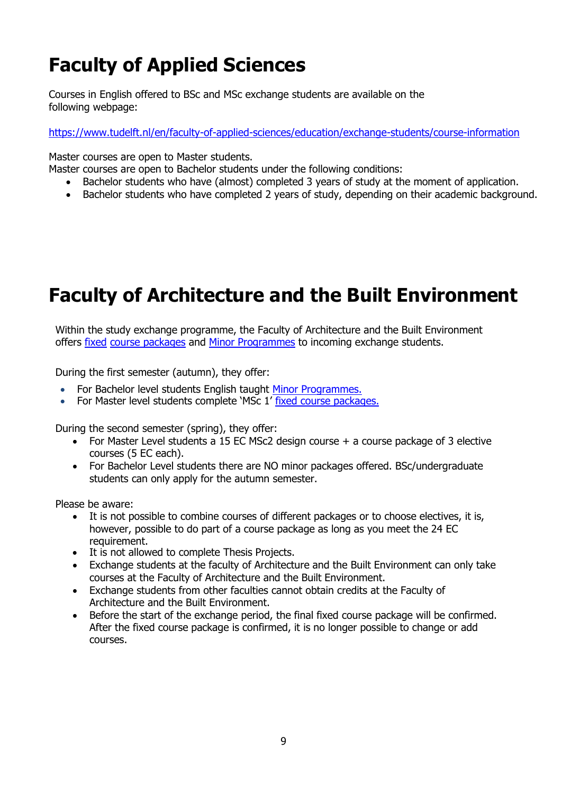# <span id="page-8-0"></span>**Faculty of Applied Sciences**

Courses in English offered to BSc and MSc exchange students are available on the following webpage:

#### https:/[/www.tudelft.nl/en/faculty-of-applied-sciences/education/exchange-students/course-information](http://www.tudelft.nl/en/faculty-of-applied-sciences/education/exchange-students/course-information)

Master courses are open to Master students.

Master courses are open to Bachelor students under the following conditions:

- Bachelor students who have (almost) completed 3 years of study at the moment of application.
- Bachelor students who have completed 2 years of study, depending on their academic background.

## <span id="page-8-1"></span>**Faculty of Architecture and the Built Environment**

Within the study exchange programme, the Faculty of Architecture and the Built Environment [offers fixed](https://www.tudelft.nl/bk/studeren/exchange-programme/) [course packages](https://www.tudelft.nl/bk/studeren/exchange-programme/) and [Minor Programmes](https://www.tudelft.nl/bk/studeren/exchange-programme/) to incoming exchange students.

During the first semester (autumn), they offer:

- For Bachelor level students English taught [Minor Programmes.](https://www.tudelft.nl/bk/studeren/exchange-programme/)
- For Master level students complete 'MSc 1' [fixed course](https://www.tudelft.nl/bk/studeren/exchange-programme/) packages.

During the second semester (spring), they offer:

- For Master Level students a 15 EC MSc2 design course  $+$  a course package of 3 elective courses (5 EC each).
- For Bachelor Level students there are NO minor packages offered. BSc/undergraduate students can only apply for the autumn semester.

Please be aware:

- It is not possible to combine courses of different packages or to choose electives, it is, however, possible to do part of a course package as long as you meet the 24 EC requirement.
- It is not allowed to complete Thesis Projects.
- Exchange students at the faculty of Architecture and the Built Environment can only take courses at the Faculty of Architecture and the Built Environment.
- Exchange students from other faculties cannot obtain credits at the Faculty of Architecture and the Built Environment.
- Before the start of the exchange period, the final fixed course package will be confirmed. After the fixed course package is confirmed, it is no longer possible to change or add courses.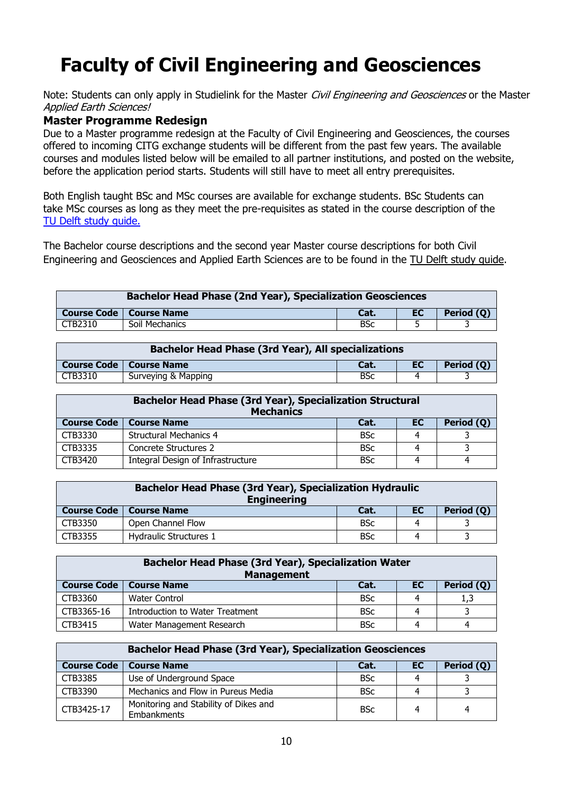# <span id="page-9-0"></span>**Faculty of Civil Engineering and Geosciences**

Note: Students can only apply in Studielink for the Master Civil Engineering and Geosciences or the Master Applied Earth Sciences!

### **Master Programme Redesign**

Due to a Master programme redesign at the Faculty of Civil Engineering and Geosciences, the courses offered to incoming CITG exchange students will be different from the past few years. The available courses and modules listed below will be emailed to all partner institutions, and posted on the website, before the application period starts. Students will still have to meet all entry prerequisites.

Both English taught BSc and MSc courses are available for exchange students. BSc Students can take MSc courses as long as they meet the pre-requisites as stated in the course description of the [TU Delft study guide.](https://studiegids.tudelft.nl/bbDefault.do?SIS_SwitchLang=en)

The Bachelor course descriptions and the second year Master course descriptions for both Civil Engineering and Geosciences and Applied Earth Sciences are to be found in the [TU Delft study guide.](https://studiegids.tudelft.nl/bbDefault.do?SIS_SwitchLang=en)

| <b>Bachelor Head Phase (2nd Year), Specialization Geosciences</b> |                           |            |     |            |
|-------------------------------------------------------------------|---------------------------|------------|-----|------------|
|                                                                   | Course Code   Course Name | Cat.       | EC. | Period (O) |
| CTB2310                                                           | Soil Mechanics            | <b>BSc</b> |     |            |

| <b>Bachelor Head Phase (3rd Year), All specializations</b> |                           |            |     |            |
|------------------------------------------------------------|---------------------------|------------|-----|------------|
|                                                            | Course Code   Course Name | Cat.       | EC. | Period (O) |
| CTB3310                                                    | Surveying & Mapping       | <b>BSc</b> |     |            |

| <b>Bachelor Head Phase (3rd Year), Specialization Structural</b><br><b>Mechanics</b> |                                                               |            |  |  |  |  |
|--------------------------------------------------------------------------------------|---------------------------------------------------------------|------------|--|--|--|--|
|                                                                                      | Period (Q)<br><b>Course Code   Course Name</b><br>EC.<br>Cat. |            |  |  |  |  |
| CTB3330                                                                              | <b>Structural Mechanics 4</b>                                 | <b>BSc</b> |  |  |  |  |
| CTB3335                                                                              | Concrete Structures 2                                         | <b>BSc</b> |  |  |  |  |
| CTB3420                                                                              | Integral Design of Infrastructure                             | <b>BSc</b> |  |  |  |  |

| <b>Bachelor Head Phase (3rd Year), Specialization Hydraulic</b><br><b>Engineering</b> |                               |            |     |            |
|---------------------------------------------------------------------------------------|-------------------------------|------------|-----|------------|
|                                                                                       | Course Code   Course Name     | Cat.       | EC. | Period (Q) |
| <b>CTB3350</b>                                                                        | Open Channel Flow             | <b>BSc</b> |     |            |
| <b>CTB3355</b>                                                                        | <b>Hydraulic Structures 1</b> | <b>BSc</b> |     |            |

| <b>Bachelor Head Phase (3rd Year), Specialization Water</b> |                                                                      |            |  |     |  |  |
|-------------------------------------------------------------|----------------------------------------------------------------------|------------|--|-----|--|--|
|                                                             | <b>Management</b>                                                    |            |  |     |  |  |
|                                                             | Period (Q)<br><b>Course Name</b><br><b>Course Code</b><br>Cat.<br>EC |            |  |     |  |  |
| CTB3360                                                     | Water Control                                                        | <b>BSc</b> |  | 1,3 |  |  |
| CTB3365-16                                                  | Introduction to Water Treatment                                      | <b>BSc</b> |  |     |  |  |
| CTB3415                                                     | Water Management Research                                            | <b>BSc</b> |  | 4   |  |  |

| <b>Bachelor Head Phase (3rd Year), Specialization Geosciences</b> |                                                      |            |     |            |
|-------------------------------------------------------------------|------------------------------------------------------|------------|-----|------------|
| <b>Course Code</b>                                                | <b>Course Name</b>                                   | Cat.       | EC. | Period (Q) |
| <b>CTB3385</b>                                                    | Use of Underground Space                             | <b>BSc</b> |     |            |
| CTB3390                                                           | Mechanics and Flow in Pureus Media                   | <b>BSc</b> |     |            |
| CTB3425-17                                                        | Monitoring and Stability of Dikes and<br>Embankments | <b>BSc</b> |     | 4          |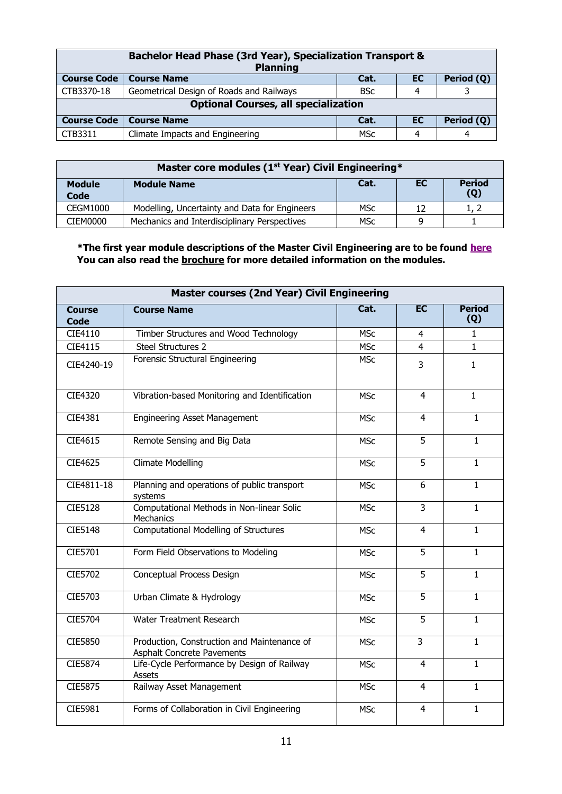| Bachelor Head Phase (3rd Year), Specialization Transport &<br><b>Planning</b> |                                                 |            |     |            |  |  |
|-------------------------------------------------------------------------------|-------------------------------------------------|------------|-----|------------|--|--|
| <b>Course Code</b>                                                            | Period (Q)<br><b>Course Name</b><br>EC.<br>Cat. |            |     |            |  |  |
| CTB3370-18                                                                    | Geometrical Design of Roads and Railways        | <b>BSc</b> |     |            |  |  |
|                                                                               | <b>Optional Courses, all specialization</b>     |            |     |            |  |  |
| <b>Course Code</b>                                                            | <b>Course Name</b>                              | Cat.       | EC. | Period (Q) |  |  |
| CTB3311                                                                       | Climate Impacts and Engineering                 | MSc        |     | 4          |  |  |

| Master core modules (1 <sup>st</sup> Year) Civil Engineering* |                                               |            |     |                      |
|---------------------------------------------------------------|-----------------------------------------------|------------|-----|----------------------|
| <b>Module</b><br>Code                                         | <b>Module Name</b>                            | Cat.       | EC. | <b>Period</b><br>(Q) |
| <b>CEGM1000</b>                                               | Modelling, Uncertainty and Data for Engineers | <b>MSc</b> | 12  | 1, 2                 |
| CIEM0000                                                      | Mechanics and Interdisciplinary Perspectives  | <b>MSc</b> |     |                      |

### **\*The first year module descriptions of the Master Civil Engineering are to be found [here](Civil%20Engineering%20and%20Geosciences%20Master%20Module%20descriptions%20(1st%20Year).pdf)** You can also read the **brochure** for more detailed information on the modules.

|                              | <b>Master courses (2nd Year) Civil Engineering</b>                               |            |                |                      |
|------------------------------|----------------------------------------------------------------------------------|------------|----------------|----------------------|
| <b>Course</b><br><b>Code</b> | <b>Course Name</b>                                                               | Cat.       | EC             | <b>Period</b><br>(Q) |
| CIE4110                      | Timber Structures and Wood Technology                                            | <b>MSc</b> | 4              | 1.                   |
| CIE4115                      | <b>Steel Structures 2</b>                                                        | <b>MSc</b> | $\overline{4}$ | $\mathbf{1}$         |
| CIE4240-19                   | Forensic Structural Engineering                                                  | <b>MSc</b> | 3              | $\mathbf{1}$         |
| CIE4320                      | Vibration-based Monitoring and Identification                                    | <b>MSc</b> | $\overline{4}$ | $\mathbf{1}$         |
| CIE4381                      | <b>Engineering Asset Management</b>                                              | <b>MSc</b> | $\overline{4}$ | $\mathbf{1}$         |
| CIE4615                      | Remote Sensing and Big Data                                                      | <b>MSc</b> | 5              | $\mathbf{1}$         |
| CIE4625                      | <b>Climate Modelling</b>                                                         | <b>MSc</b> | 5              | $\mathbf{1}$         |
| CIE4811-18                   | Planning and operations of public transport<br>systems                           | <b>MSc</b> | $\overline{6}$ | $\mathbf{1}$         |
| CIE5128                      | Computational Methods in Non-linear Solic<br>Mechanics                           | <b>MSc</b> | $\overline{3}$ | $\mathbf{1}$         |
| CIE5148                      | Computational Modelling of Structures                                            | <b>MSc</b> | $\overline{4}$ | 1                    |
| CIE5701                      | Form Field Observations to Modeling                                              | <b>MSc</b> | $\overline{5}$ | $\mathbf{1}$         |
| CIE5702                      | Conceptual Process Design                                                        | <b>MSc</b> | $\overline{5}$ | $\mathbf{1}$         |
| CIE5703                      | Urban Climate & Hydrology                                                        | <b>MSc</b> | $\overline{5}$ | $\mathbf{1}$         |
| CIE5704                      | <b>Water Treatment Research</b>                                                  | <b>MSc</b> | 5              | 1                    |
| <b>CIE5850</b>               | Production, Construction and Maintenance of<br><b>Asphalt Concrete Pavements</b> | <b>MSc</b> | $\overline{3}$ | 1                    |
| CIE5874                      | Life-Cycle Performance by Design of Railway<br>Assets                            | <b>MSc</b> | 4              | 1                    |
| CIE5875                      | Railway Asset Management                                                         | <b>MSc</b> | 4              | $\mathbf{1}$         |
| CIE5981                      | Forms of Collaboration in Civil Engineering                                      | <b>MSc</b> | $\overline{4}$ | $\mathbf{1}$         |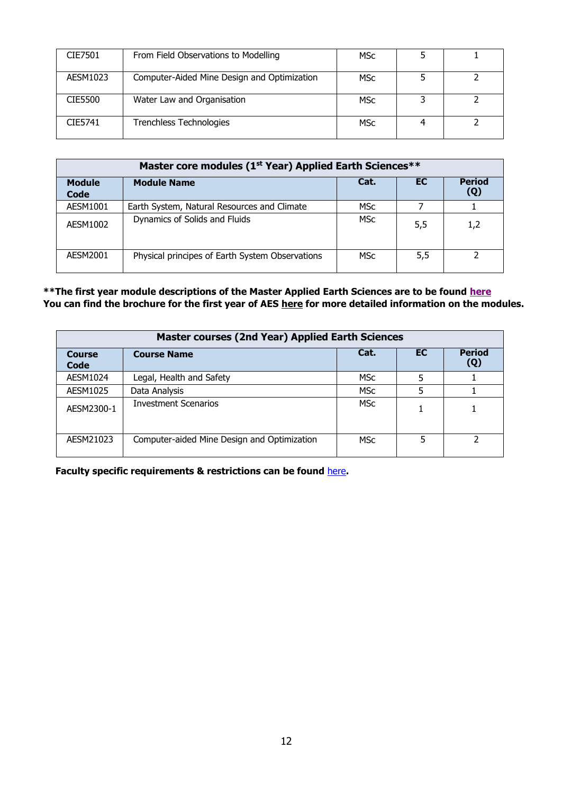| CIE7501  | From Field Observations to Modelling        | MSc        |  |
|----------|---------------------------------------------|------------|--|
| AESM1023 | Computer-Aided Mine Design and Optimization | MSc        |  |
| CIE5500  | Water Law and Organisation                  | <b>MSc</b> |  |
| CIE5741  | <b>Trenchless Technologies</b>              | <b>MSc</b> |  |

|                       | Master core modules (1 <sup>st</sup> Year) Applied Earth Sciences** |                 |     |                      |  |
|-----------------------|---------------------------------------------------------------------|-----------------|-----|----------------------|--|
| <b>Module</b><br>Code | <b>Module Name</b>                                                  | Cat.            | EC. | <b>Period</b><br>(Q) |  |
| AESM1001              | Earth System, Natural Resources and Climate                         | <b>MSc</b>      |     |                      |  |
| AESM1002              | Dynamics of Solids and Fluids                                       | M <sub>SC</sub> | 5,5 | 1,2                  |  |
| AESM2001              | Physical principes of Earth System Observations                     | MSc             | 5,5 |                      |  |

**\*\*The first year module descriptions of the Master Applied Earth Sciences are to be found [here](Applied%20Earth%20Sciences%20Master%20Module%20descriptions%20(1st%20Year).pdf) You can find the brochure for the first year of AES [here](https://d2k0ddhflgrk1i.cloudfront.net/TUDelft/Onderwijs/Opleidingen/Master/MSc_Applied_Earth_Sciences/Module%20descriptions%20for%20future%20AES%20students%2020211130.pdf) for more detailed information on the modules.**

| <b>Master courses (2nd Year) Applied Earth Sciences</b> |                                             |            |           |                      |  |
|---------------------------------------------------------|---------------------------------------------|------------|-----------|----------------------|--|
| <b>Course</b><br>Code                                   | <b>Course Name</b>                          | Cat.       | <b>EC</b> | <b>Period</b><br>(Q) |  |
| AESM1024                                                | Legal, Health and Safety                    | <b>MSc</b> |           |                      |  |
| AESM1025                                                | Data Analysis                               | <b>MSc</b> |           |                      |  |
| AESM2300-1                                              | <b>Investment Scenarios</b>                 | <b>MSc</b> |           |                      |  |
| AESM21023                                               | Computer-aided Mine Design and Optimization | <b>MSc</b> | 5         |                      |  |

**Faculty specific requirements & restrictions can be found** [here](https://www.tudelft.nl/en/education/admission-and-application/exchange-students/requirements/course-selection-restrictions#c430534)**.**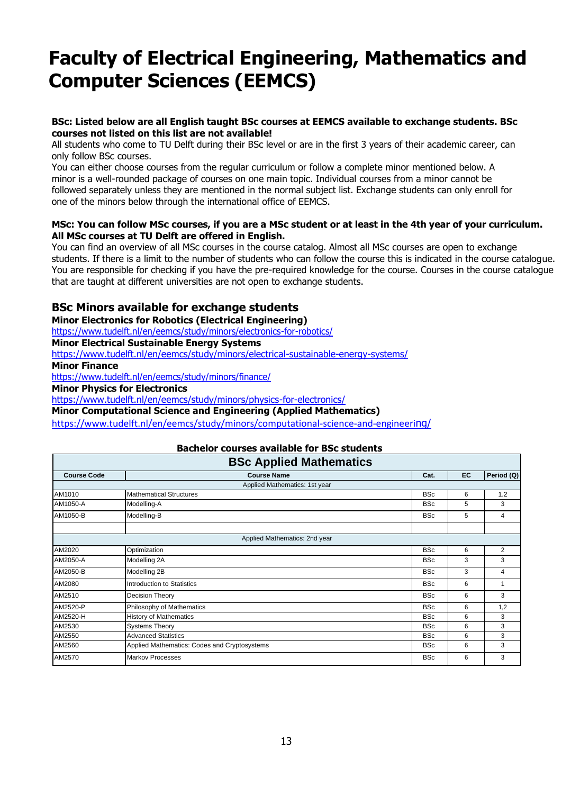## <span id="page-12-0"></span>**Faculty of Electrical Engineering, Mathematics and Computer Sciences (EEMCS)**

#### **BSc: Listed below are all English taught BSc courses at EEMCS available to exchange students. BSc courses not listed on this list are not available!**

All students who come to TU Delft during their BSc level or are in the first 3 years of their academic career, can only follow BSc courses.

You can either choose courses from the regular curriculum or follow a complete minor mentioned below. A minor is a well-rounded package of courses on one main topic. Individual courses from a minor cannot be followed separately unless they are mentioned in the normal subject list. Exchange students can only enroll for one of the minors below through the international office of EEMCS.

#### **MSc: You can follow MSc courses, if you are a MSc student or at least in the 4th year of your curriculum. All MSc courses at TU Delft are offered in English.**

You can find an overview of all MSc courses in the course catalog. Almost all MSc courses are open to exchange students. If there is a limit to the number of students who can follow the course this is indicated in the course catalogue. You are responsible for checking if you have the pre-required knowledge for the course. Courses in the course catalogue that are taught at different universities are not open to exchange students.

### **BSc Minors available for exchange students**

**Minor Electronics for Robotics (Electrical Engineering)** 

[https://www.tudelft.nl/en/eemcs/study/minors/electronics-for-robotics/](http://www.tudelft.nl/en/eemcs/study/minors/electronics-for-robotics/)

**Minor Electrical Sustainable Energy Systems**

[https://www.tudelft.nl/en/eemcs/study/minors/electrical-sustainable-energy-systems/](http://www.tudelft.nl/en/eemcs/study/minors/electrical-sustainable-energy-systems/)

**Minor Finance** 

<https://www.tudelft.nl/en/eemcs/study/minors/finance/>

**Minor Physics for Electronics**

<https://www.tudelft.nl/en/eemcs/study/minors/physics-for-electronics/>

**Minor Computational Science and Engineering (Applied Mathematics)**

[https://www.tudelft.nl/en/eemcs/study/minors/computational-science-and-engineeri](http://www.tudelft.nl/en/eemcs/study/minors/computational-science-and-engineering/)[ng/](http://www.tudelft.nl/en/eemcs/study/minors/computational-science-and-engineering/)

#### **Bachelor courses available for BSc students**

| <b>BSc Applied Mathematics</b> |                                              |            |    |            |  |
|--------------------------------|----------------------------------------------|------------|----|------------|--|
| <b>Course Code</b>             | <b>Course Name</b>                           | Cat.       | EC | Period (Q) |  |
|                                | Applied Mathematics: 1st year                |            |    |            |  |
| AM1010                         | <b>Mathematical Structures</b>               | <b>BSc</b> | 6  | 1.2        |  |
| AM1050-A                       | Modelling-A                                  | <b>BSc</b> | 5  | 3          |  |
| AM1050-B                       | Modelling-B                                  | <b>BSc</b> | 5  | 4          |  |
|                                | Applied Mathematics: 2nd year                |            |    |            |  |
| AM2020                         | Optimization                                 | <b>BSc</b> | 6  | 2          |  |
| AM2050-A                       | Modelling 2A                                 | <b>BSc</b> | 3  | 3          |  |
| AM2050-B                       | Modelling 2B                                 | <b>BSc</b> | 3  | 4          |  |
| AM2080                         | Introduction to Statistics                   | <b>BSc</b> | 6  |            |  |
| AM2510                         | Decision Theory                              | <b>BSc</b> | 6  | 3          |  |
| AM2520-P                       | Philosophy of Mathematics                    | <b>BSc</b> | 6  | 1,2        |  |
| AM2520-H                       | <b>History of Mathematics</b>                | <b>BSc</b> | 6  | 3          |  |
| AM2530                         | <b>Systems Theory</b>                        | <b>BSc</b> | 6  | 3          |  |
| AM2550                         | <b>Advanced Statistics</b>                   | <b>BSc</b> | 6  | 3          |  |
| AM2560                         | Applied Mathematics: Codes and Cryptosystems | <b>BSc</b> | 6  | 3          |  |
| AM2570                         | <b>Markov Processes</b>                      | <b>BSc</b> | 6  | 3          |  |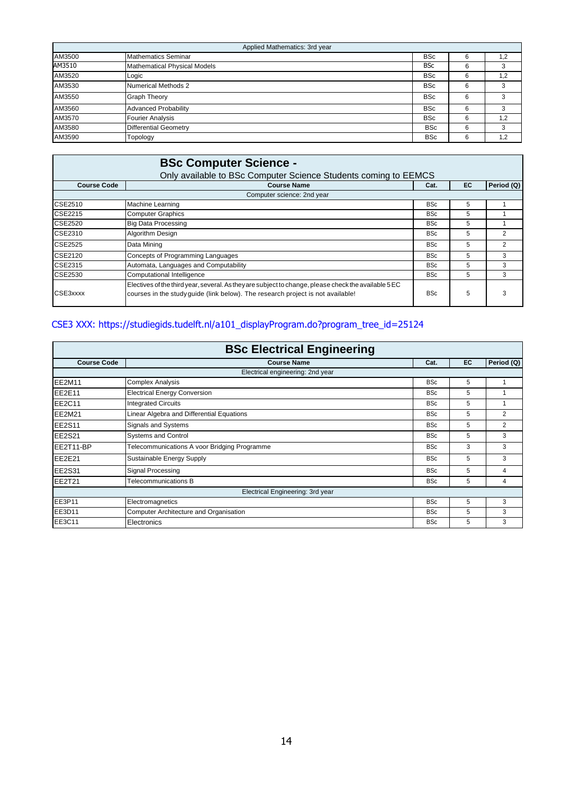|        | Applied Mathematics: 3rd year       |  |            |   |     |
|--------|-------------------------------------|--|------------|---|-----|
| AM3500 | <b>Mathematics Seminar</b>          |  | <b>BSc</b> | 6 | 1,2 |
| AM3510 | <b>Mathematical Physical Models</b> |  | <b>BSc</b> | 6 | 3   |
| AM3520 | Logic                               |  | <b>BSc</b> | 6 | 1,2 |
| AM3530 | Numerical Methods 2                 |  | <b>BSc</b> | 6 |     |
| AM3550 | <b>Graph Theory</b>                 |  | <b>BSc</b> | 6 | 3   |
| AM3560 | <b>Advanced Probability</b>         |  | <b>BSc</b> | 6 |     |
| AM3570 | <b>Fourier Analysis</b>             |  | <b>BSc</b> | 6 | 1,2 |
| AM3580 | <b>Differential Geometry</b>        |  | <b>BSc</b> | 6 | 3   |
| AM3590 | Topology                            |  | <b>BSc</b> | 6 | 1,2 |

|                    | <b>BSc Computer Science -</b>                                                                                                                                                           |            |     |            |  |  |
|--------------------|-----------------------------------------------------------------------------------------------------------------------------------------------------------------------------------------|------------|-----|------------|--|--|
|                    | Only available to BSc Computer Science Students coming to EEMCS                                                                                                                         |            |     |            |  |  |
| <b>Course Code</b> | <b>Course Name</b>                                                                                                                                                                      | Cat.       | EC. | Period (Q) |  |  |
|                    | Computer science: 2nd year                                                                                                                                                              |            |     |            |  |  |
| CSE2510            | Machine Learning                                                                                                                                                                        | <b>BSc</b> | 5   |            |  |  |
| CSE2215            | <b>Computer Graphics</b>                                                                                                                                                                | <b>BSc</b> | 5   |            |  |  |
| CSE2520            | <b>Big Data Processing</b>                                                                                                                                                              | <b>BSc</b> | 5   |            |  |  |
| CSE2310            | Algorithm Design                                                                                                                                                                        | <b>BSc</b> | 5   | 2          |  |  |
| <b>CSE2525</b>     | Data Mining                                                                                                                                                                             | <b>BSc</b> | 5   | 2          |  |  |
| CSE2120            | Concepts of Programming Languages                                                                                                                                                       | <b>BSc</b> | 5   | 3          |  |  |
| CSE2315            | Automata, Languages and Computability                                                                                                                                                   | <b>BSc</b> | 5   | 3          |  |  |
| CSE2530            | Computational Intelligence                                                                                                                                                              | <b>BSc</b> | 5   | 3          |  |  |
| CSE3xxxx           | Electives of the third year, several. As they are subject to change, please check the available 5 EC<br>courses in the study guide (link below). The research project is not available! | <b>BSc</b> | 5   |            |  |  |

### CSE3 XXX: [https://studiegids.tudelft.nl/a101\\_displayProgram.do?program\\_tree\\_id=25124](https://studiegids.tudelft.nl/a101_displayProgram.do?program_tree_id=25124)

| <b>BSc Electrical Engineering</b> |                                              |            |    |                |  |
|-----------------------------------|----------------------------------------------|------------|----|----------------|--|
| <b>Course Code</b>                | <b>Course Name</b>                           | Cat.       | EC | Period (Q)     |  |
|                                   | Electrical engineering: 2nd year             |            |    |                |  |
| <b>EE2M11</b>                     | <b>Complex Analysis</b>                      | <b>BSc</b> | 5  |                |  |
| <b>EE2E11</b>                     | <b>Electrical Energy Conversion</b>          | <b>BSc</b> | 5  |                |  |
| <b>EE2C11</b>                     | <b>Integrated Circuits</b>                   | <b>BSc</b> | 5  |                |  |
| <b>EE2M21</b>                     | Linear Algebra and Differential Equations    | <b>BSc</b> | 5  | $\overline{2}$ |  |
| <b>EE2S11</b>                     | Signals and Systems                          | <b>BSc</b> | 5  | 2              |  |
| <b>EE2S21</b>                     | Systems and Control                          | <b>BSc</b> | 5  | 3              |  |
| EE2T11-BP                         | Telecommunications A voor Bridging Programme | <b>BSc</b> | 3  | 3              |  |
| <b>EE2E21</b>                     | Sustainable Energy Supply                    | <b>BSc</b> | 5  | 3              |  |
| <b>EE2S31</b>                     | Signal Processing                            | <b>BSc</b> | 5  | 4              |  |
| <b>EE2T21</b>                     | Telecommunications B                         | <b>BSc</b> | 5  | 4              |  |
| Electrical Engineering: 3rd year  |                                              |            |    |                |  |
| EE3P11                            | Electromagnetics                             | <b>BSc</b> | 5  | 3              |  |
| EE3D11                            | Computer Architecture and Organisation       | <b>BSc</b> | 5  | 3              |  |
| EE3C11                            | Electronics                                  | <b>BSc</b> | 5  | 3              |  |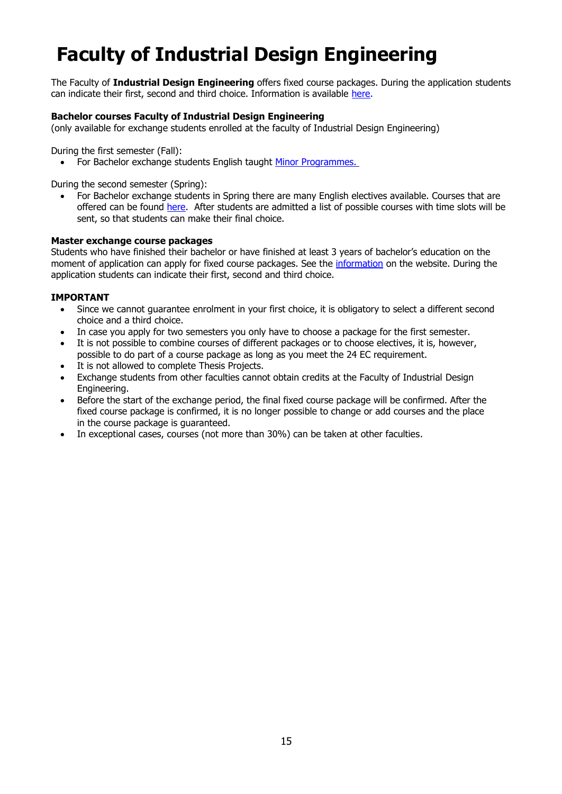# <span id="page-14-0"></span>**Faculty of Industrial Design Engineering**

The Faculty of **Industrial Design Engineering** offers fixed course packages. During the application students can indicate their first, second and third choice. Information is available [here.](https://www.tudelft.nl/io/studeren/incoming-exchange-students/course-information/)

#### **Bachelor courses Faculty of Industrial Design Engineering**

(only available for exchange students enrolled at the faculty of Industrial Design Engineering)

During the first semester (Fall):

• For Bachelor exchange students English taught [Minor Programmes.](https://www.tudelft.nl/en/ide/education/minors)

During the second semester (Spring):

• For Bachelor exchange students in Spring there are many English electives available. Courses that are offered can be found [here.](https://www.tudelft.nl/io/studeren/incoming-exchange-students/course-information/) After students are admitted a list of possible courses with time slots will be sent, so that students can make their final choice.

#### **Master exchange course packages**

Students who have finished their bachelor or have finished at least 3 years of bachelor's education on the moment of application can apply for fixed course packages. See the *information* on the website. During the application students can indicate their first, second and third choice.

#### **IMPORTANT**

- Since we cannot quarantee enrolment in your first choice, it is obligatory to select a different second choice and a third choice.
- In case you apply for two semesters you only have to choose a package for the first semester.
- It is not possible to combine courses of different packages or to choose electives, it is, however, possible to do part of a course package as long as you meet the 24 EC requirement.
- It is not allowed to complete Thesis Projects.
- Exchange students from other faculties cannot obtain credits at the Faculty of Industrial Design Engineering.
- Before the start of the exchange period, the final fixed course package will be confirmed. After the fixed course package is confirmed, it is no longer possible to change or add courses and the place in the course package is guaranteed.
- In exceptional cases, courses (not more than 30%) can be taken at other faculties.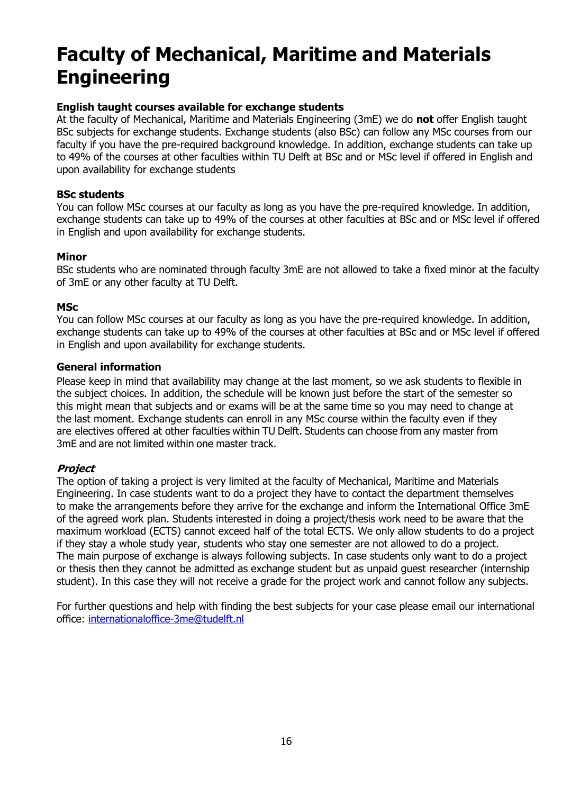# <span id="page-15-0"></span>**Faculty of Mechanical, Maritime and Materials Engineering**

### **English taught courses available for exchange students**

At the faculty of Mechanical, Maritime and Materials Engineering (3mE) we do **not** offer English taught BSc subjects for exchange students. Exchange students (also BSc) can follow any MSc courses from our faculty if you have the pre-required background knowledge. In addition, exchange students can take up to 49% of the courses at other faculties within TU Delft at BSc and or MSc level if offered in English and upon availability for exchange students

#### **BSc students**

You can follow MSc courses at our faculty as long as you have the pre-required knowledge. In addition, exchange students can take up to 49% of the courses at other faculties at BSc and or MSc level if offered in English and upon availability for exchange students.

#### **Minor**

BSc students who are nominated through faculty 3mE are not allowed to take a fixed minor at the faculty of 3mE or any other faculty at TU Delft.

#### **MSc**

You can follow MSc courses at our faculty as long as you have the pre-required knowledge. In addition, exchange students can take up to 49% of the courses at other faculties at BSc and or MSc level if offered in English and upon availability for exchange students.

#### **General information**

Please keep in mind that availability may change at the last moment, so we ask students to flexible in the subject choices. In addition, the schedule will be known just before the start of the semester so this might mean that subjects and or exams will be at the same time so you may need to change at the last moment. Exchange students can enroll in any MSc course within the faculty even if they are electives offered at other faculties within TU Delft. Students can choose from any master from 3mE and are not limited within one master track.

### **Project**

The option of taking a project is very limited at the faculty of Mechanical, Maritime and Materials Engineering. In case students want to do a project they have to contact the department themselves to make the arrangements before they arrive for the exchange and inform the International Office 3mE of the agreed work plan. Students interested in doing a project/thesis work need to be aware that the maximum workload (ECTS) cannot exceed half of the total ECTS. We only allow students to do a project if they stay a whole study year, students who stay one semester are not allowed to do a project. The main purpose of exchange is always following subjects. In case students only want to do a project or thesis then they cannot be admitted as exchange student but as unpaid guest researcher (internship student). In this case they will not receive a grade for the project work and cannot follow any subjects.

For further questions and help with finding the best subjects for your case please email our international office: [internationaloffice-3me@tudelft.nl](mailto:internationaloffice-3me@tudelft.nl)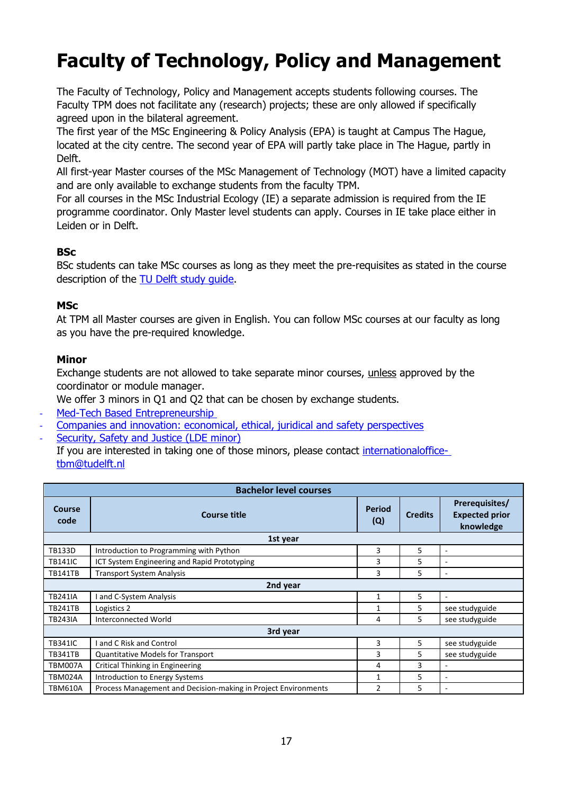# <span id="page-16-0"></span>**Faculty of Technology, Policy and Management**

The Faculty of Technology, Policy and Management accepts students following courses. The Faculty TPM does not facilitate any (research) projects; these are only allowed if specifically agreed upon in the bilateral agreement.

The first year of the MSc Engineering & Policy Analysis (EPA) is taught at Campus The Hague, located at the city centre. The second year of EPA will partly take place in The Hague, partly in Delft.

All first-year Master courses of the MSc Management of Technology (MOT) have a limited capacity and are only available to exchange students from the faculty TPM.

For all courses in the MSc Industrial Ecology (IE) a separate admission is required from the IE programme coordinator. Only Master level students can apply. Courses in IE take place either in Leiden or in Delft.

#### **BSc**

BSc students can take MSc courses as long as they meet the pre-requisites as stated in the course description of the [TU Delft study guide.](https://studiegids.tudelft.nl/)

#### **MSc**

At TPM all Master courses are given in English. You can follow MSc courses at our faculty as long as you have the pre-required knowledge.

#### **Minor**

Exchange students are not allowed to take separate minor courses, unless approved by the coordinator or module manager.

We offer 3 minors in Q1 and Q2 that can be chosen by exchange students.

- Med-Tech Based Entrepreneurship
- [Companies and innovation: economical, ethical, juridical and safety perspectives](https://www.tudelft.nl/tbm/onderwijs/minoren/companies-and-innovation)
- [Security, Safety and Justice \(LDE minor\)](https://www.tudelft.nl/tbm/onderwijs/minoren/security-safety-justice-ld)

If you are interested in taking one of those minors, please contact [internationaloffice](mailto:internationaloffice-%20tbm@tudelft.nl)[tbm@tudelft.nl](mailto:internationaloffice-%20tbm@tudelft.nl)

| <b>Bachelor level courses</b> |                                                                |                      |                |                                                      |
|-------------------------------|----------------------------------------------------------------|----------------------|----------------|------------------------------------------------------|
| Course<br>code                | <b>Course title</b>                                            | <b>Period</b><br>(Q) | <b>Credits</b> | Prerequisites/<br><b>Expected prior</b><br>knowledge |
|                               | 1st year                                                       |                      |                |                                                      |
| TB133D                        | Introduction to Programming with Python                        | 3                    | 5              | ٠                                                    |
| <b>TB141IC</b>                | ICT System Engineering and Rapid Prototyping                   | 3                    | 5              |                                                      |
| TB141TB                       | <b>Transport System Analysis</b>                               | 3                    | 5              |                                                      |
|                               | 2nd year                                                       |                      |                |                                                      |
| TB241IA                       | I and C-System Analysis                                        | 1                    | 5              | ٠                                                    |
| TB241TB                       | Logistics 2                                                    | 1                    | 5.             | see studyguide                                       |
| TB243IA                       | Interconnected World                                           | 4                    | 5.             | see studyguide                                       |
|                               | 3rd year                                                       |                      |                |                                                      |
| <b>TB341IC</b>                | <b>Land C Risk and Control</b>                                 | 3                    | 5.             | see studyguide                                       |
| TB341TB                       | <b>Quantitative Models for Transport</b>                       | 3                    | 5              | see studyguide                                       |
| TBM007A                       | Critical Thinking in Engineering                               | 4                    | 3              |                                                      |
| TBM024A                       | Introduction to Energy Systems                                 | 1                    | 5              |                                                      |
| TBM610A                       | Process Management and Decision-making in Project Environments | 2                    | 5              |                                                      |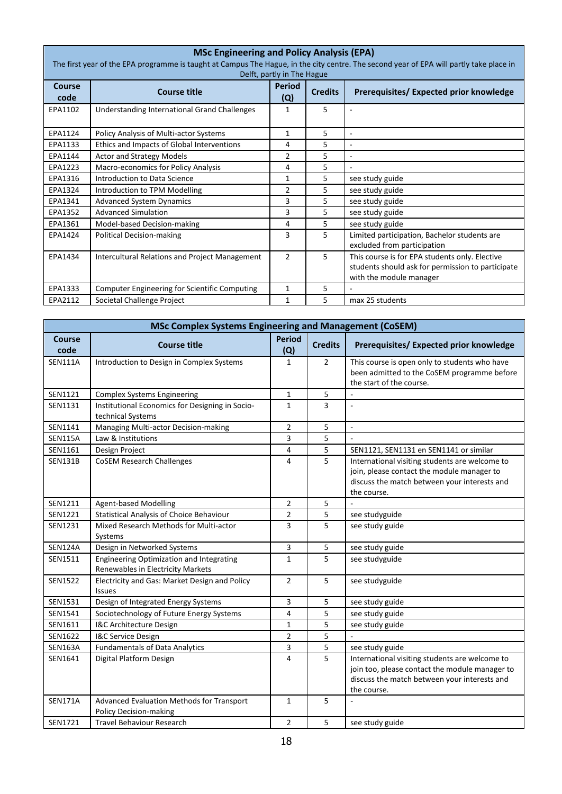| <b>MSc Engineering and Policy Analysis (EPA)</b>                                                                                        |                                                       |                      |                |                                                                                                                                |  |  |
|-----------------------------------------------------------------------------------------------------------------------------------------|-------------------------------------------------------|----------------------|----------------|--------------------------------------------------------------------------------------------------------------------------------|--|--|
| The first year of the EPA programme is taught at Campus The Hague, in the city centre. The second year of EPA will partly take place in |                                                       |                      |                |                                                                                                                                |  |  |
| Delft, partly in The Hague                                                                                                              |                                                       |                      |                |                                                                                                                                |  |  |
| Course<br>code                                                                                                                          | <b>Course title</b>                                   | <b>Period</b><br>(Q) | <b>Credits</b> | Prerequisites/Expected prior knowledge                                                                                         |  |  |
| EPA1102                                                                                                                                 | Understanding International Grand Challenges          | 1                    | 5.             | $\overline{a}$                                                                                                                 |  |  |
| EPA1124                                                                                                                                 | Policy Analysis of Multi-actor Systems                | 1                    | 5              | $\overline{\phantom{a}}$                                                                                                       |  |  |
| EPA1133                                                                                                                                 | Ethics and Impacts of Global Interventions            | 4                    | 5              | ٠                                                                                                                              |  |  |
| EPA1144                                                                                                                                 | <b>Actor and Strategy Models</b>                      | 2                    | 5              | ٠                                                                                                                              |  |  |
| EPA1223                                                                                                                                 | Macro-economics for Policy Analysis                   | 4                    | 5              |                                                                                                                                |  |  |
| EPA1316                                                                                                                                 | Introduction to Data Science                          | 1                    | 5              | see study guide                                                                                                                |  |  |
| EPA1324                                                                                                                                 | Introduction to TPM Modelling                         | 2                    | 5.             | see study guide                                                                                                                |  |  |
| EPA1341                                                                                                                                 | <b>Advanced System Dynamics</b>                       | 3                    | 5              | see study guide                                                                                                                |  |  |
| EPA1352                                                                                                                                 | <b>Advanced Simulation</b>                            | 3                    | 5              | see study guide                                                                                                                |  |  |
| EPA1361                                                                                                                                 | Model-based Decision-making                           | 4                    | 5              | see study guide                                                                                                                |  |  |
| EPA1424                                                                                                                                 | <b>Political Decision-making</b>                      | 3                    | 5              | Limited participation, Bachelor students are<br>excluded from participation                                                    |  |  |
| EPA1434                                                                                                                                 | <b>Intercultural Relations and Project Management</b> | $\mathcal{P}$        | 5.             | This course is for EPA students only. Elective<br>students should ask for permission to participate<br>with the module manager |  |  |
| EPA1333                                                                                                                                 | <b>Computer Engineering for Scientific Computing</b>  | 1                    | 5.             |                                                                                                                                |  |  |
| EPA2112                                                                                                                                 | Societal Challenge Project                            | $\mathbf{1}$         | 5              | max 25 students                                                                                                                |  |  |

| <b>MSc Complex Systems Engineering and Management (CoSEM)</b> |                                                                               |                      |                |                                                                                                                                                                 |  |  |
|---------------------------------------------------------------|-------------------------------------------------------------------------------|----------------------|----------------|-----------------------------------------------------------------------------------------------------------------------------------------------------------------|--|--|
| <b>Course</b><br>code                                         | <b>Course title</b>                                                           | <b>Period</b><br>(Q) | <b>Credits</b> | Prerequisites/Expected prior knowledge                                                                                                                          |  |  |
| <b>SEN111A</b>                                                | Introduction to Design in Complex Systems                                     | 1                    | $\overline{2}$ | This course is open only to students who have<br>been admitted to the CoSEM programme before<br>the start of the course.                                        |  |  |
| SEN1121                                                       | <b>Complex Systems Engineering</b>                                            | $\mathbf{1}$         | 5              |                                                                                                                                                                 |  |  |
| SEN1131                                                       | Institutional Economics for Designing in Socio-<br>technical Systems          | $\mathbf{1}$         | 3              |                                                                                                                                                                 |  |  |
| SEN1141                                                       | Managing Multi-actor Decision-making                                          | $\overline{2}$       | 5              | $\sim$                                                                                                                                                          |  |  |
| <b>SEN115A</b>                                                | Law & Institutions                                                            | 3                    | 5              |                                                                                                                                                                 |  |  |
| SEN1161                                                       | Design Project                                                                | 4                    | 5              | SEN1121, SEN1131 en SEN1141 or similar                                                                                                                          |  |  |
| <b>SEN131B</b>                                                | <b>CoSEM Research Challenges</b>                                              | 4                    | 5              | International visiting students are welcome to<br>join, please contact the module manager to<br>discuss the match between your interests and<br>the course.     |  |  |
| SEN1211                                                       | <b>Agent-based Modelling</b>                                                  | $\overline{2}$       | 5              |                                                                                                                                                                 |  |  |
| SEN1221                                                       | Statistical Analysis of Choice Behaviour                                      | $\overline{2}$       | 5              | see studyguide                                                                                                                                                  |  |  |
| SEN1231                                                       | Mixed Research Methods for Multi-actor<br>Systems                             | 3                    | 5              | see study guide                                                                                                                                                 |  |  |
| <b>SEN124A</b>                                                | Design in Networked Systems                                                   | 3                    | 5              | see study guide                                                                                                                                                 |  |  |
| SEN1511                                                       | Engineering Optimization and Integrating<br>Renewables in Electricity Markets | $\mathbf{1}$         | 5              | see studyguide                                                                                                                                                  |  |  |
| <b>SEN1522</b>                                                | Electricity and Gas: Market Design and Policy<br><b>Issues</b>                | $\overline{2}$       | 5              | see studyguide                                                                                                                                                  |  |  |
| SEN1531                                                       | Design of Integrated Energy Systems                                           | 3                    | 5              | see study guide                                                                                                                                                 |  |  |
| SEN1541                                                       | Sociotechnology of Future Energy Systems                                      | 4                    | 5              | see study guide                                                                                                                                                 |  |  |
| SEN1611                                                       | I&C Architecture Design                                                       | $\mathbf{1}$         | 5              | see study guide                                                                                                                                                 |  |  |
| SEN1622                                                       | I&C Service Design                                                            | $\overline{2}$       | 5              |                                                                                                                                                                 |  |  |
| <b>SEN163A</b>                                                | <b>Fundamentals of Data Analytics</b>                                         | 3                    | 5              | see study guide                                                                                                                                                 |  |  |
| SEN1641                                                       | Digital Platform Design                                                       | 4                    | 5              | International visiting students are welcome to<br>join too, please contact the module manager to<br>discuss the match between your interests and<br>the course. |  |  |
| <b>SEN171A</b>                                                | Advanced Evaluation Methods for Transport<br><b>Policy Decision-making</b>    | $\mathbf{1}$         | 5              |                                                                                                                                                                 |  |  |
| SEN1721                                                       | <b>Travel Behaviour Research</b>                                              | $\overline{2}$       | 5              | see study guide                                                                                                                                                 |  |  |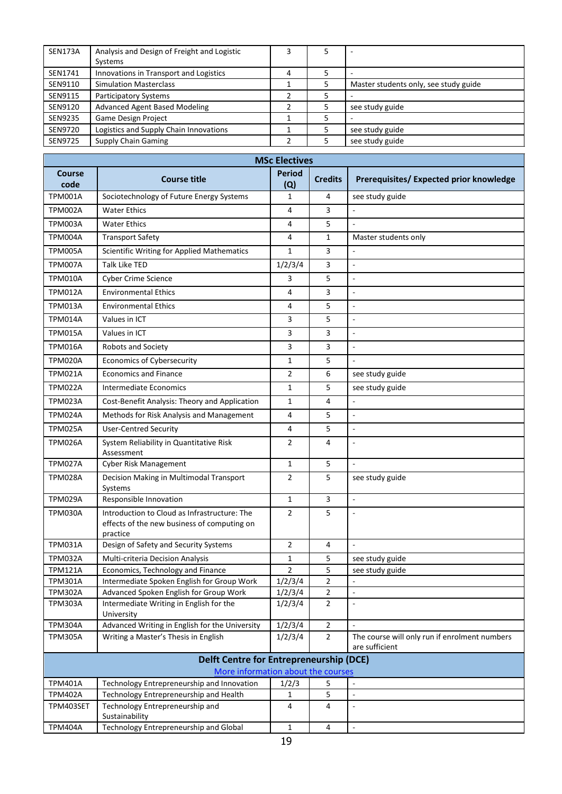| <b>SEN173A</b> | Analysis and Design of Freight and Logistic<br>Systems |   |                                       |
|----------------|--------------------------------------------------------|---|---------------------------------------|
| SEN1741        | Innovations in Transport and Logistics                 | 4 |                                       |
| SEN9110        | <b>Simulation Masterclass</b>                          |   | Master students only, see study guide |
| SEN9115        | <b>Participatory Systems</b>                           | 2 |                                       |
| SEN9120        | <b>Advanced Agent Based Modeling</b>                   |   | see study guide                       |
| <b>SEN9235</b> | <b>Game Design Project</b>                             |   |                                       |
| <b>SEN9720</b> | Logistics and Supply Chain Innovations                 |   | see study guide                       |
| <b>SEN9725</b> | Supply Chain Gaming                                    |   | see study guide                       |

|                       |                                                                                                         | <b>MSc Electives</b> |                |                                                                 |
|-----------------------|---------------------------------------------------------------------------------------------------------|----------------------|----------------|-----------------------------------------------------------------|
| <b>Course</b><br>code | <b>Course title</b>                                                                                     | Period<br>(Q)        | <b>Credits</b> | Prerequisites/Expected prior knowledge                          |
| <b>TPM001A</b>        | Sociotechnology of Future Energy Systems                                                                | 1                    | 4              | see study guide                                                 |
| <b>TPM002A</b>        | <b>Water Ethics</b>                                                                                     | 4                    | 3              |                                                                 |
| <b>TPM003A</b>        | <b>Water Ethics</b>                                                                                     | 4                    | 5              |                                                                 |
| <b>TPM004A</b>        | <b>Transport Safety</b>                                                                                 | 4                    | 1              | Master students only                                            |
| <b>TPM005A</b>        | <b>Scientific Writing for Applied Mathematics</b>                                                       | $\mathbf{1}$         | 3              | $\overline{\phantom{a}}$                                        |
| <b>TPM007A</b>        | <b>Talk Like TED</b>                                                                                    | 1/2/3/4              | 3              | $\sim$                                                          |
| <b>TPM010A</b>        | <b>Cyber Crime Science</b>                                                                              | 3                    | 5              | $\sim$                                                          |
| <b>TPM012A</b>        | <b>Environmental Ethics</b>                                                                             | 4                    | 3              | $\sim$                                                          |
| <b>TPM013A</b>        | <b>Environmental Ethics</b>                                                                             | 4                    | 5              | $\sim$                                                          |
| <b>TPM014A</b>        | Values in ICT                                                                                           | 3                    | 5              | $\sim$                                                          |
| <b>TPM015A</b>        | Values in ICT                                                                                           | 3                    | 3              | $\overline{\phantom{a}}$                                        |
| <b>TPM016A</b>        | Robots and Society                                                                                      | 3                    | 3              | $\mathbb{Z}$                                                    |
| <b>TPM020A</b>        | <b>Economics of Cybersecurity</b>                                                                       | $\mathbf 1$          | 5              | $\sim$                                                          |
| <b>TPM021A</b>        | <b>Economics and Finance</b>                                                                            | $\overline{2}$       | 6              | see study guide                                                 |
| <b>TPM022A</b>        | <b>Intermediate Economics</b>                                                                           | $\mathbf{1}$         | 5              | see study guide                                                 |
| TPM023A               | Cost-Benefit Analysis: Theory and Application                                                           | 1                    | 4              |                                                                 |
| <b>TPM024A</b>        | Methods for Risk Analysis and Management                                                                | 4                    | 5              | $\overline{a}$                                                  |
| <b>TPM025A</b>        | <b>User-Centred Security</b>                                                                            | 4                    | 5              | $\overline{\phantom{a}}$                                        |
| <b>TPM026A</b>        | System Reliability in Quantitative Risk                                                                 | $\overline{2}$       | 4              | J.                                                              |
|                       | Assessment                                                                                              |                      |                |                                                                 |
| <b>TPM027A</b>        | <b>Cyber Risk Management</b>                                                                            | $\mathbf{1}$         | 5              | $\overline{\phantom{a}}$                                        |
| <b>TPM028A</b>        | Decision Making in Multimodal Transport<br>Systems                                                      | $\overline{2}$       | 5              | see study guide                                                 |
| <b>TPM029A</b>        | Responsible Innovation                                                                                  | $\mathbf{1}$         | 3              | $\overline{\phantom{a}}$                                        |
| <b>TPM030A</b>        | Introduction to Cloud as Infrastructure: The<br>effects of the new business of computing on<br>practice | $\overline{2}$       | 5              | ÷,                                                              |
| <b>TPM031A</b>        | Design of Safety and Security Systems                                                                   | $\overline{2}$       | 4              | $\mathbb{Z}^2$                                                  |
| <b>TPM032A</b>        | Multi-criteria Decision Analysis                                                                        | 1                    | 5              | see study guide                                                 |
| <b>TPM121A</b>        | Economics, Technology and Finance                                                                       | $\overline{2}$       | 5              | see study guide                                                 |
| TPM301A               | Intermediate Spoken English for Group Work                                                              | 1/2/3/4              | 2              | $\overline{\phantom{a}}$                                        |
| <b>TPM302A</b>        | Advanced Spoken English for Group Work                                                                  | 1/2/3/4              | 2              | $\bar{\mathbf{z}}$                                              |
| <b>TPM303A</b>        | Intermediate Writing in English for the<br>University                                                   | 1/2/3/4              | 2              | $\overline{\phantom{a}}$                                        |
| <b>TPM304A</b>        | Advanced Writing in English for the University                                                          | 1/2/3/4              | 2              |                                                                 |
| <b>TPM305A</b>        | Writing a Master's Thesis in English                                                                    | 1/2/3/4              | $\overline{2}$ | The course will only run if enrolment numbers<br>are sufficient |
|                       | <b>Delft Centre for Entrepreneurship (DCE)</b>                                                          |                      |                |                                                                 |
|                       | More information about the courses                                                                      |                      |                |                                                                 |
| <b>TPM401A</b>        | Technology Entrepreneurship and Innovation                                                              | 1/2/3                | 5              | $\Box$                                                          |
| <b>TPM402A</b>        | Technology Entrepreneurship and Health                                                                  | 1                    | 5              | $\Box$                                                          |
| TPM403SET             | Technology Entrepreneurship and<br>Sustainability                                                       | 4                    | 4              | $\blacksquare$                                                  |
| <b>TPM404A</b>        | Technology Entrepreneurship and Global                                                                  | $\mathbf{1}$         | 4              | $\overline{\phantom{a}}$                                        |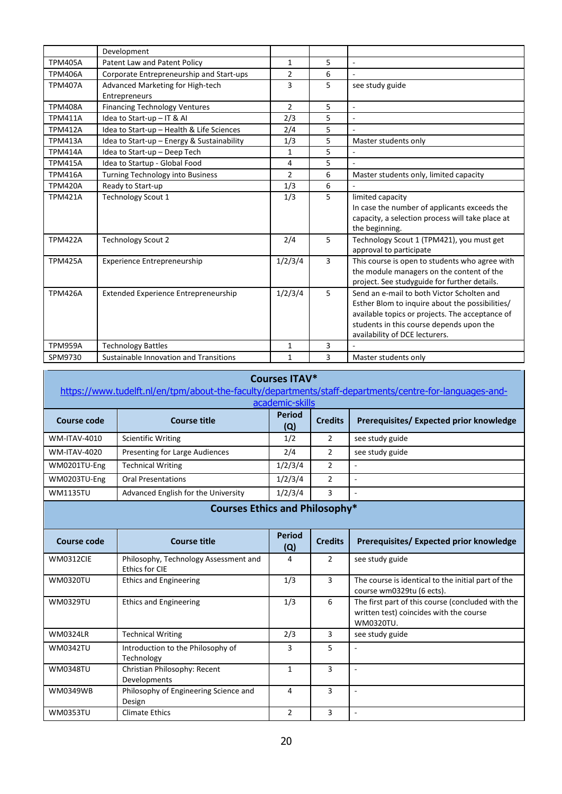|                | Development                                       |                |   |                                                                                                                                                                                                                                |
|----------------|---------------------------------------------------|----------------|---|--------------------------------------------------------------------------------------------------------------------------------------------------------------------------------------------------------------------------------|
| <b>TPM405A</b> | Patent Law and Patent Policy                      | 1              | 5 | ÷,                                                                                                                                                                                                                             |
| <b>TPM406A</b> | Corporate Entrepreneurship and Start-ups          | $\overline{2}$ | 6 |                                                                                                                                                                                                                                |
| <b>TPM407A</b> | Advanced Marketing for High-tech<br>Entrepreneurs | 3              | 5 | see study guide                                                                                                                                                                                                                |
| <b>TPM408A</b> | <b>Financing Technology Ventures</b>              | $\overline{2}$ | 5 | $\sim$                                                                                                                                                                                                                         |
| <b>TPM411A</b> | Idea to Start-up - IT & AI                        | 2/3            | 5 | ÷,                                                                                                                                                                                                                             |
| <b>TPM412A</b> | Idea to Start-up - Health & Life Sciences         | 2/4            | 5 |                                                                                                                                                                                                                                |
| <b>TPM413A</b> | Idea to Start-up - Energy & Sustainability        | 1/3            | 5 | Master students only                                                                                                                                                                                                           |
| <b>TPM414A</b> | Idea to Start-up - Deep Tech                      | 1              | 5 | ä,                                                                                                                                                                                                                             |
| <b>TPM415A</b> | Idea to Startup - Global Food                     | 4              | 5 |                                                                                                                                                                                                                                |
| <b>TPM416A</b> | Turning Technology into Business                  | $\overline{2}$ | 6 | Master students only, limited capacity                                                                                                                                                                                         |
| <b>TPM420A</b> | Ready to Start-up                                 | 1/3            | 6 |                                                                                                                                                                                                                                |
| <b>TPM421A</b> | <b>Technology Scout 1</b>                         | 1/3            | 5 | limited capacity<br>In case the number of applicants exceeds the<br>capacity, a selection process will take place at<br>the beginning.                                                                                         |
| <b>TPM422A</b> | <b>Technology Scout 2</b>                         | 2/4            | 5 | Technology Scout 1 (TPM421), you must get<br>approval to participate                                                                                                                                                           |
| <b>TPM425A</b> | <b>Experience Entrepreneurship</b>                | 1/2/3/4        | 3 | This course is open to students who agree with<br>the module managers on the content of the<br>project. See studyguide for further details.                                                                                    |
| <b>TPM426A</b> | <b>Extended Experience Entrepreneurship</b>       | 1/2/3/4        | 5 | Send an e-mail to both Victor Scholten and<br>Esther Blom to inquire about the possibilities/<br>available topics or projects. The acceptance of<br>students in this course depends upon the<br>availability of DCE lecturers. |
| <b>TPM959A</b> | <b>Technology Battles</b>                         | 1              | 3 |                                                                                                                                                                                                                                |
| SPM9730        | Sustainable Innovation and Transitions            | $\mathbf{1}$   | 3 | Master students only                                                                                                                                                                                                           |

Г

| https://www.tudelft.nl/en/tpm/about-the-faculty/departments/staff-departments/centre-for-languages-and- |                                                                |                      |                |                                                                                                           |  |  |
|---------------------------------------------------------------------------------------------------------|----------------------------------------------------------------|----------------------|----------------|-----------------------------------------------------------------------------------------------------------|--|--|
| academic-skills                                                                                         |                                                                |                      |                |                                                                                                           |  |  |
| <b>Course code</b>                                                                                      | <b>Course title</b>                                            | <b>Period</b><br>(Q) | <b>Credits</b> | Prerequisites/Expected prior knowledge                                                                    |  |  |
| <b>WM-ITAV-4010</b>                                                                                     | <b>Scientific Writing</b>                                      | 1/2                  | $\overline{2}$ | see study guide                                                                                           |  |  |
| <b>WM-ITAV-4020</b>                                                                                     | <b>Presenting for Large Audiences</b>                          | 2/4                  | $\overline{2}$ | see study guide                                                                                           |  |  |
| WM0201TU-Eng                                                                                            | <b>Technical Writing</b>                                       | 1/2/3/4              | $\overline{2}$ |                                                                                                           |  |  |
| WM0203TU-Eng                                                                                            | <b>Oral Presentations</b>                                      | 1/2/3/4              | $\overline{2}$ | $\blacksquare$                                                                                            |  |  |
| <b>WM1135TU</b>                                                                                         | Advanced English for the University                            | 1/2/3/4              | 3              |                                                                                                           |  |  |
|                                                                                                         | <b>Courses Ethics and Philosophy*</b>                          |                      |                |                                                                                                           |  |  |
|                                                                                                         |                                                                |                      |                |                                                                                                           |  |  |
| Course code                                                                                             | <b>Course title</b>                                            | <b>Period</b><br>(Q) | <b>Credits</b> | Prerequisites/Expected prior knowledge                                                                    |  |  |
| <b>WM0312CIE</b>                                                                                        | Philosophy, Technology Assessment and<br><b>Ethics for CIE</b> | 4                    | $\overline{2}$ | see study guide                                                                                           |  |  |
| <b>WM0320TU</b>                                                                                         | <b>Ethics and Engineering</b>                                  | 1/3                  | 3              | The course is identical to the initial part of the<br>course wm0329tu (6 ects).                           |  |  |
| <b>WM0329TU</b>                                                                                         | <b>Ethics and Engineering</b>                                  | 1/3                  | 6              | The first part of this course (concluded with the<br>written test) coincides with the course<br>WM0320TU. |  |  |
| <b>WM0324LR</b>                                                                                         | <b>Technical Writing</b>                                       | 2/3                  | 3              | see study guide                                                                                           |  |  |
| <b>WM0342TU</b>                                                                                         | Introduction to the Philosophy of<br>Technology                | 3                    | 5              | $\overline{\phantom{a}}$                                                                                  |  |  |
| <b>WM0348TU</b>                                                                                         | Christian Philosophy: Recent<br>Developments                   | $\mathbf{1}$         | 3              | $\sim$                                                                                                    |  |  |
| <b>WM0349WB</b>                                                                                         | Philosophy of Engineering Science and<br>Design                | 4                    | 3              | $\sim$                                                                                                    |  |  |
| <b>WM0353TU</b>                                                                                         | <b>Climate Ethics</b>                                          | 2                    | 3              | $\sim$                                                                                                    |  |  |